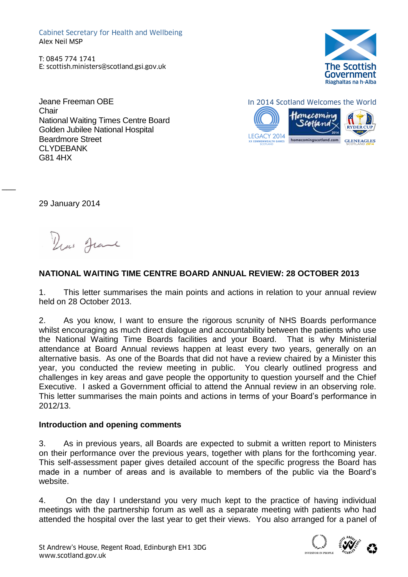Cabinet Secretary for Health and Wellbeing Alex Neil MSP Cabinet Secretary for Health and Wellbeing<br>
Alex Neil MSP<br>
T: 0845 774 1741<br>
E: scottish.ministers@scotland.gsi.gov.uk<br>
(F

T: 0845 774 1741



Jeane Freeman OBE **Chair** National Waiting Times Centre Board Golden Jubilee National Hospital Beardmore Street CI YDFRANK G81 4HX





29 January 2014

 $\overline{\phantom{a}}$ 

New Jeane

# **NATIONAL WAITING TIME CENTRE BOARD ANNUAL REVIEW: 28 OCTOBER 2013**

1. This letter summarises the main points and actions in relation to your annual review held on 28 October 2013.

2. As you know, I want to ensure the rigorous scrunity of NHS Boards performance whilst encouraging as much direct dialogue and accountability between the patients who use the National Waiting Time Boards facilities and your Board. That is why Ministerial attendance at Board Annual reviews happen at least every two years, generally on an alternative basis. As one of the Boards that did not have a review chaired by a Minister this year, you conducted the review meeting in public. You clearly outlined progress and challenges in key areas and gave people the opportunity to question yourself and the Chief Executive. I asked a Government official to attend the Annual review in an observing role. This letter summarises the main points and actions in terms of your Board's performance in 2012/13.

#### **Introduction and opening comments**

3. As in previous years, all Boards are expected to submit a written report to Ministers on their performance over the previous years, together with plans for the forthcoming year. This self-assessment paper gives detailed account of the specific progress the Board has made in a number of areas and is available to members of the public via the Board's website.

4. On the day I understand you very much kept to the practice of having individual meetings with the partnership forum as well as a separate meeting with patients who had attended the hospital over the last year to get their views. You also arranged for a panel of

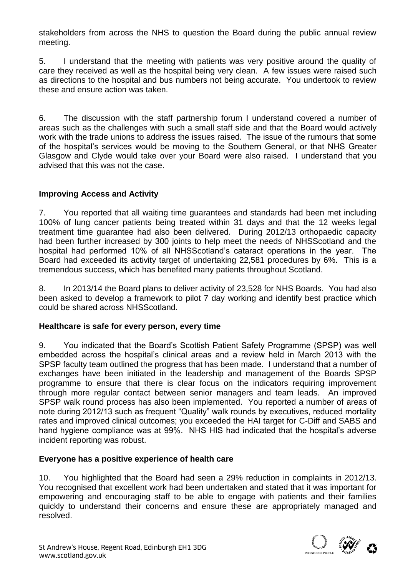stakeholders from across the NHS to question the Board during the public annual review meeting.

5. I understand that the meeting with patients was very positive around the quality of care they received as well as the hospital being very clean. A few issues were raised such as directions to the hospital and bus numbers not being accurate. You undertook to review these and ensure action was taken.

6. The discussion with the staff partnership forum I understand covered a number of areas such as the challenges with such a small staff side and that the Board would actively work with the trade unions to address the issues raised. The issue of the rumours that some of the hospital's services would be moving to the Southern General, or that NHS Greater Glasgow and Clyde would take over your Board were also raised. I understand that you advised that this was not the case.

# **Improving Access and Activity**

7. You reported that all waiting time guarantees and standards had been met including 100% of lung cancer patients being treated within 31 days and that the 12 weeks legal treatment time guarantee had also been delivered. During 2012/13 orthopaedic capacity had been further increased by 300 joints to help meet the needs of NHSScotland and the hospital had performed 10% of all NHSScotland's cataract operations in the year. The Board had exceeded its activity target of undertaking 22,581 procedures by 6%. This is a tremendous success, which has benefited many patients throughout Scotland.

8. In 2013/14 the Board plans to deliver activity of 23,528 for NHS Boards. You had also been asked to develop a framework to pilot 7 day working and identify best practice which could be shared across NHSScotland.

#### **Healthcare is safe for every person, every time**

9. You indicated that the Board's Scottish Patient Safety Programme (SPSP) was well embedded across the hospital's clinical areas and a review held in March 2013 with the SPSP faculty team outlined the progress that has been made. I understand that a number of exchanges have been initiated in the leadership and management of the Boards SPSP programme to ensure that there is clear focus on the indicators requiring improvement through more regular contact between senior managers and team leads. An improved SPSP walk round process has also been implemented. You reported a number of areas of note during 2012/13 such as frequent "Quality" walk rounds by executives, reduced mortality rates and improved clinical outcomes; you exceeded the HAI target for C-Diff and SABS and hand hygiene compliance was at 99%. NHS HIS had indicated that the hospital's adverse incident reporting was robust.

#### **Everyone has a positive experience of health care**

10. You highlighted that the Board had seen a 29% reduction in complaints in 2012/13. You recognised that excellent work had been undertaken and stated that it was important for empowering and encouraging staff to be able to engage with patients and their families quickly to understand their concerns and ensure these are appropriately managed and resolved.

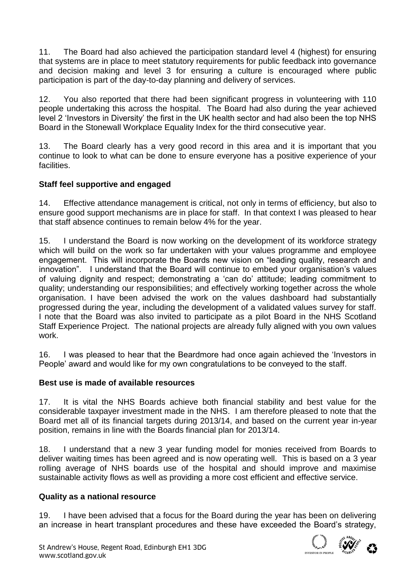11. The Board had also achieved the participation standard level 4 (highest) for ensuring that systems are in place to meet statutory requirements for public feedback into governance and decision making and level 3 for ensuring a culture is encouraged where public participation is part of the day-to-day planning and delivery of services.

12. You also reported that there had been significant progress in volunteering with 110 people undertaking this across the hospital. The Board had also during the year achieved level 2 'Investors in Diversity' the first in the UK health sector and had also been the top NHS Board in the Stonewall Workplace Equality Index for the third consecutive year.

13. The Board clearly has a very good record in this area and it is important that you continue to look to what can be done to ensure everyone has a positive experience of your facilities.

# **Staff feel supportive and engaged**

14. Effective attendance management is critical, not only in terms of efficiency, but also to ensure good support mechanisms are in place for staff. In that context I was pleased to hear that staff absence continues to remain below 4% for the year.

15. I understand the Board is now working on the development of its workforce strategy which will build on the work so far undertaken with your values programme and employee engagement. This will incorporate the Boards new vision on "leading quality, research and innovation". I understand that the Board will continue to embed your organisation's values of valuing dignity and respect; demonstrating a 'can do' attitude; leading commitment to quality; understanding our responsibilities; and effectively working together across the whole organisation. I have been advised the work on the values dashboard had substantially progressed during the year, including the development of a validated values survey for staff. I note that the Board was also invited to participate as a pilot Board in the NHS Scotland Staff Experience Project. The national projects are already fully aligned with you own values work.

16. I was pleased to hear that the Beardmore had once again achieved the 'Investors in People' award and would like for my own congratulations to be conveyed to the staff.

# **Best use is made of available resources**

17. It is vital the NHS Boards achieve both financial stability and best value for the considerable taxpayer investment made in the NHS. I am therefore pleased to note that the Board met all of its financial targets during 2013/14, and based on the current year in-year position, remains in line with the Boards financial plan for 2013/14.

18. I understand that a new 3 year funding model for monies received from Boards to deliver waiting times has been agreed and is now operating well. This is based on a 3 year rolling average of NHS boards use of the hospital and should improve and maximise sustainable activity flows as well as providing a more cost efficient and effective service.

# **Quality as a national resource**

19. I have been advised that a focus for the Board during the year has been on delivering an increase in heart transplant procedures and these have exceeded the Board's strategy,

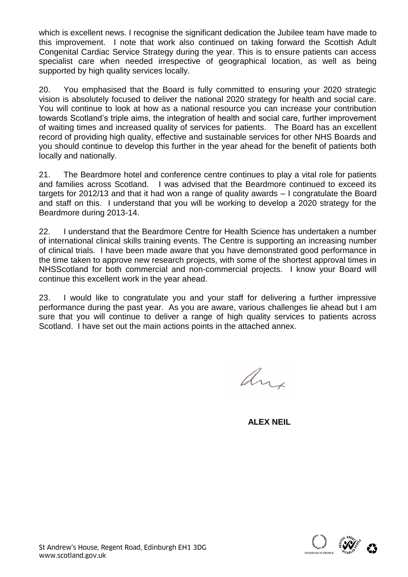which is excellent news. I recognise the significant dedication the Jubilee team have made to this improvement. I note that work also continued on taking forward the Scottish Adult Congenital Cardiac Service Strategy during the year. This is to ensure patients can access specialist care when needed irrespective of geographical location, as well as being supported by high quality services locally.

20. You emphasised that the Board is fully committed to ensuring your 2020 strategic vision is absolutely focused to deliver the national 2020 strategy for health and social care. You will continue to look at how as a national resource you can increase your contribution towards Scotland's triple aims, the integration of health and social care, further improvement of waiting times and increased quality of services for patients. The Board has an excellent record of providing high quality, effective and sustainable services for other NHS Boards and you should continue to develop this further in the year ahead for the benefit of patients both locally and nationally.

21. The Beardmore hotel and conference centre continues to play a vital role for patients and families across Scotland. I was advised that the Beardmore continued to exceed its targets for 2012/13 and that it had won a range of quality awards – I congratulate the Board and staff on this. I understand that you will be working to develop a 2020 strategy for the Beardmore during 2013-14.

22. I understand that the Beardmore Centre for Health Science has undertaken a number of international clinical skills training events. The Centre is supporting an increasing number of clinical trials. I have been made aware that you have demonstrated good performance in the time taken to approve new research projects, with some of the shortest approval times in NHSScotland for both commercial and non-commercial projects. I know your Board will continue this excellent work in the year ahead.

23. I would like to congratulate you and your staff for delivering a further impressive performance during the past year. As you are aware, various challenges lie ahead but I am sure that you will continue to deliver a range of high quality services to patients across Scotland. I have set out the main actions points in the attached annex.

any

 **ALEX NEIL**